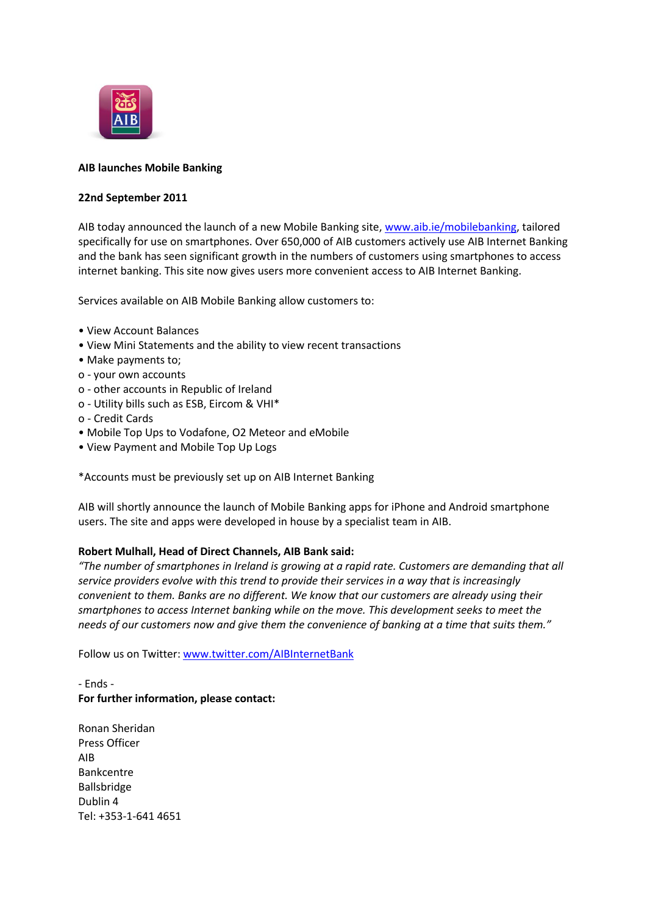

## **AIB launches Mobile Banking**

#### **22nd September 2011**

AIB today announced the launch of a new Mobile Banking site, [www.aib.ie/mobilebanking,](http://www.aib.ie/mobilebanking) tailored specifically for use on smartphones. Over 650,000 of AIB customers actively use AIB Internet Banking and the bank has seen significant growth in the numbers of customers using smartphones to access internet banking. This site now gives users more convenient access to AIB Internet Banking.

Services available on AIB Mobile Banking allow customers to:

- View Account Balances
- View Mini Statements and the ability to view recent transactions
- Make payments to;
- o your own accounts
- o other accounts in Republic of Ireland
- o Utility bills such as ESB, Eircom & VHI\*
- o Credit Cards
- Mobile Top Ups to Vodafone, O2 Meteor and eMobile
- View Payment and Mobile Top Up Logs

\*Accounts must be previously set up on AIB Internet Banking

AIB will shortly announce the launch of Mobile Banking apps for iPhone and Android smartphone users. The site and apps were developed in house by a specialist team in AIB.

### **Robert Mulhall, Head of Direct Channels, AIB Bank said:**

*"The number of smartphones in Ireland is growing at a rapid rate. Customers are demanding that all service providers evolve with this trend to provide their services in a way that is increasingly convenient to them. Banks are no different. We know that our customers are already using their smartphones to access Internet banking while on the move. This development seeks to meet the needs of our customers now and give them the convenience of banking at a time that suits them."*

Follow us on Twitter[: www.twitter.com/AIBInternetBank](http://www.twitter.com/AIBInternetBank)

# - Ends - **For further information, please contact:**

Ronan Sheridan Press Officer AIB Bankcentre Ballsbridge Dublin 4 Tel: +353-1-641 4651